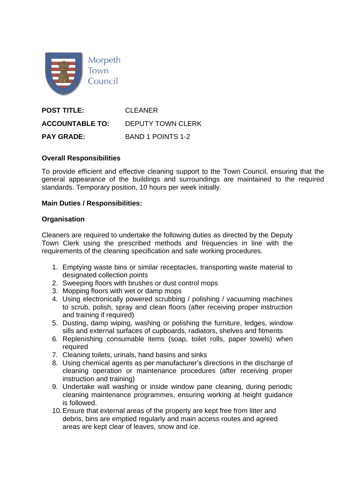

**POST TITLE:** CLEANER **ACCOUNTABLE TO:** DEPUTY TOWN CLERK **PAY GRADE:** BAND 1 POINTS 1-2

## **Overall Responsibilities**

To provide efficient and effective cleaning support to the Town Council, ensuring that the general appearance of the buildings and surroundings are maintained to the required standards. Temporary position, 10 hours per week initially.

## **Main Duties / Responsibilities:**

## **Organisation**

Cleaners are required to undertake the following duties as directed by the Deputy Town Clerk using the prescribed methods and frequencies in line with the requirements of the cleaning specification and safe working procedures.

- 1. Emptying waste bins or similar receptacles, transporting waste material to designated collection points
- 2. Sweeping floors with brushes or dust control mops
- 3. Mopping floors with wet or damp mops
- 4. Using electronically powered scrubbing / polishing / vacuuming machines to scrub, polish, spray and clean floors (after receiving proper instruction and training if required)
- 5. Dusting, damp wiping, washing or polishing the furniture, ledges, window sills and external surfaces of cupboards, radiators, shelves and fitments
- 6. Replenishing consumable items (soap, toilet rolls, paper towels) when required
- 7. Cleaning toilets, urinals, hand basins and sinks
- 8. Using chemical agents as per manufacturer's directions in the discharge of cleaning operation or maintenance procedures (after receiving proper instruction and training)
- 9. Undertake wall washing or inside window pane cleaning, during periodic cleaning maintenance programmes, ensuring working at height guidance is followed.
- 10.Ensure that external areas of the property are kept free from litter and debris, bins are emptied regularly and main access routes and agreed areas are kept clear of leaves, snow and ice.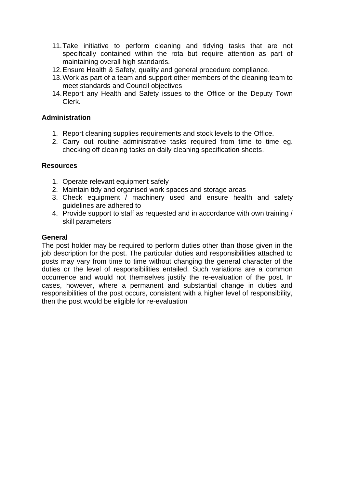- 11.Take initiative to perform cleaning and tidying tasks that are not specifically contained within the rota but require attention as part of maintaining overall high standards.
- 12.Ensure Health & Safety, quality and general procedure compliance.
- 13.Work as part of a team and support other members of the cleaning team to meet standards and Council objectives
- 14.Report any Health and Safety issues to the Office or the Deputy Town Clerk.

# **Administration**

- 1. Report cleaning supplies requirements and stock levels to the Office.
- 2. Carry out routine administrative tasks required from time to time eg. checking off cleaning tasks on daily cleaning specification sheets.

#### **Resources**

- 1. Operate relevant equipment safely
- 2. Maintain tidy and organised work spaces and storage areas
- 3. Check equipment / machinery used and ensure health and safety guidelines are adhered to
- 4. Provide support to staff as requested and in accordance with own training / skill parameters

#### **General**

The post holder may be required to perform duties other than those given in the job description for the post. The particular duties and responsibilities attached to posts may vary from time to time without changing the general character of the duties or the level of responsibilities entailed. Such variations are a common occurrence and would not themselves justify the re-evaluation of the post. In cases, however, where a permanent and substantial change in duties and responsibilities of the post occurs, consistent with a higher level of responsibility, then the post would be eligible for re-evaluation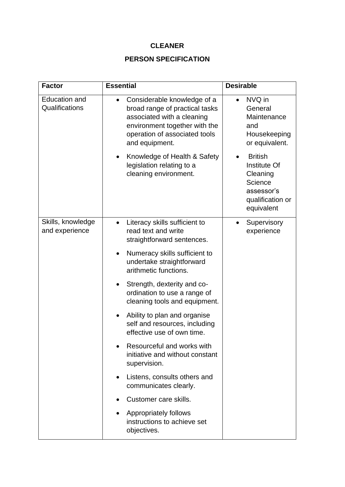# **CLEANER**

# **PERSON SPECIFICATION**

| <b>Factor</b>                          | <b>Essential</b>                                                                                                                                                                             | <b>Desirable</b>                                                                                      |
|----------------------------------------|----------------------------------------------------------------------------------------------------------------------------------------------------------------------------------------------|-------------------------------------------------------------------------------------------------------|
| <b>Education and</b><br>Qualifications | Considerable knowledge of a<br>$\bullet$<br>broad range of practical tasks<br>associated with a cleaning<br>environment together with the<br>operation of associated tools<br>and equipment. | NVQ in<br>General<br>Maintenance<br>and<br>Housekeeping<br>or equivalent.                             |
|                                        | Knowledge of Health & Safety<br>legislation relating to a<br>cleaning environment.                                                                                                           | <b>British</b><br>Institute Of<br>Cleaning<br>Science<br>assessor's<br>qualification or<br>equivalent |
| Skills, knowledge<br>and experience    | Literacy skills sufficient to<br>read text and write<br>straightforward sentences.                                                                                                           | Supervisory<br>experience                                                                             |
|                                        | Numeracy skills sufficient to<br>undertake straightforward<br>arithmetic functions.                                                                                                          |                                                                                                       |
|                                        | Strength, dexterity and co-<br>ordination to use a range of<br>cleaning tools and equipment.                                                                                                 |                                                                                                       |
|                                        | Ability to plan and organise<br>self and resources, including<br>effective use of own time.                                                                                                  |                                                                                                       |
|                                        | Resourceful and works with<br>initiative and without constant<br>supervision.                                                                                                                |                                                                                                       |
|                                        | Listens, consults others and<br>$\bullet$<br>communicates clearly.                                                                                                                           |                                                                                                       |
|                                        | Customer care skills.                                                                                                                                                                        |                                                                                                       |
|                                        | Appropriately follows<br>instructions to achieve set<br>objectives.                                                                                                                          |                                                                                                       |